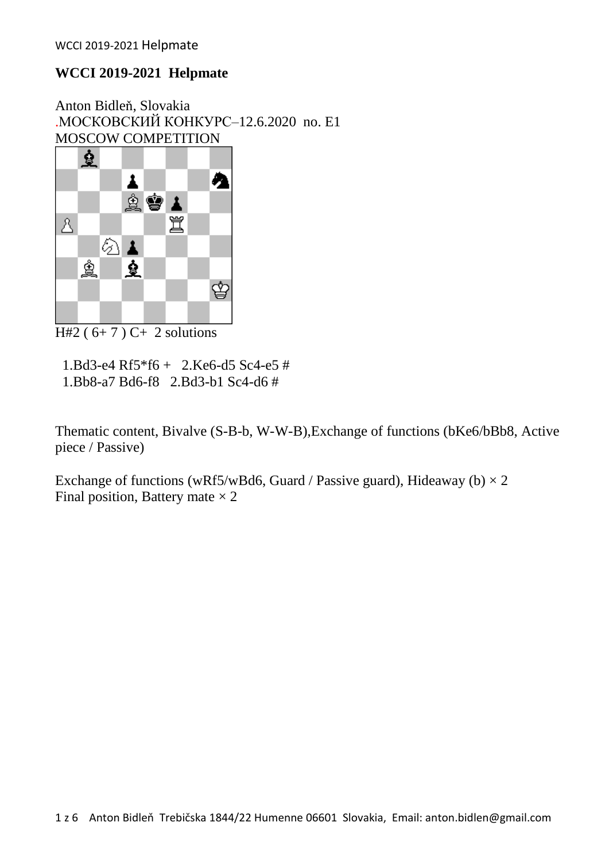Anton Bidleň, Slovakia .МОСКОВСКИЙ КОНКУРС–12.6.2020 no. E1 MOSCOW COMPETITION



 $H#2 (6+7) C+ 2$  solutions

 1.Bd3-e4 Rf5\*f6 + 2.Ke6-d5 Sc4-e5 # 1.Bb8-a7 Bd6-f8 2.Bd3-b1 Sc4-d6 #

Thematic content, Bivalve (S-B-b, W-W-B),Exchange of functions (bKe6/bBb8, Active piece / Passive)

Exchange of functions (wRf5/wBd6, Guard / Passive guard), Hideaway (b)  $\times$  2 Final position, Battery mate  $\times$  2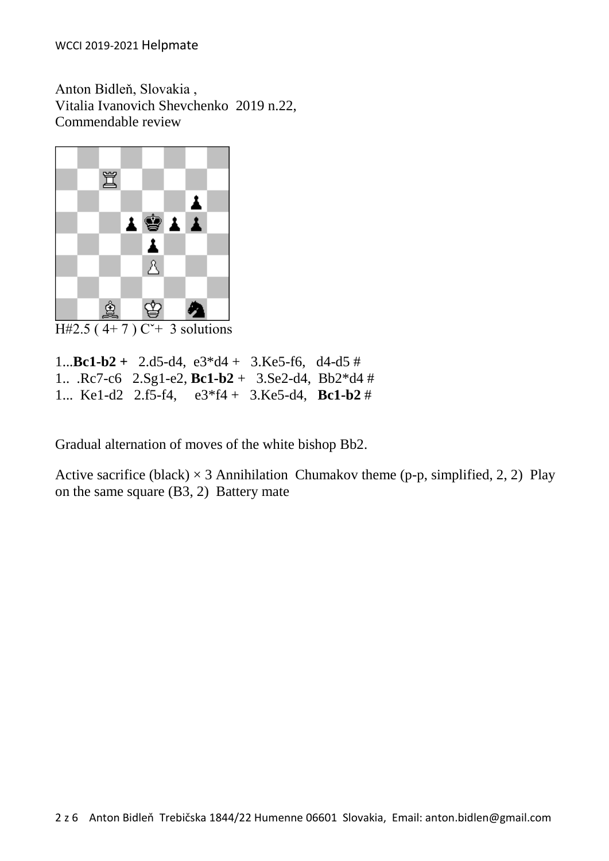Anton Bidleň, Slovakia , Vitalia Ivanovich Shevchenko 2019 n.22, Commendable review



H#2.5 (4+7)  $C^+$  3 solutions

1...**Bc1-b2 +** 2.d5-d4, e3\*d4 + 3.Ke5-f6, d4-d5 # 1.. .Rc7-c6 2.Sg1-e2, **Bc1-b2** + 3.Se2-d4, Bb2\*d4 # 1... Ke1-d2 2.f5-f4, e3\*f4 + 3.Ke5-d4, **Bc1-b2** #

Gradual alternation of moves of the white bishop Bb2.

[Active sacrifice](http://helpman.komtera.lt/definition/Active_sacrifice) (black)  $\times$  3 [Annihilation](http://helpman.komtera.lt/definition/Annihilation) [Chumakov theme](http://helpman.komtera.lt/definition/Chumakov_theme) (p-p, simplified, 2, 2) Play [on the same square](http://helpman.komtera.lt/definition/Play_on_the_same_square) (B3, 2) Battery mate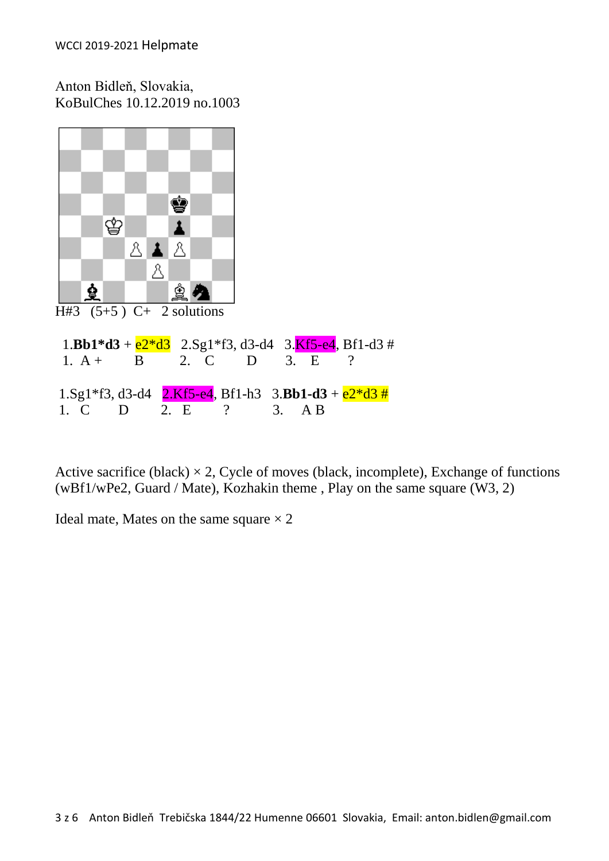Anton Bidleň, Slovakia, KoBulChes 10.12.2019 no.1003



[Active sacrifice](http://helpman.komtera.lt/definition/Active_sacrifice) (black)  $\times$  2, [Cycle of moves](http://helpman.komtera.lt/definition/Cycle_of_moves) (black, incomplete), [Exchange of functions](http://helpman.komtera.lt/definition/Exchange_of_functions) (wBf1/wPe2, Guard / Mate), [Kozhakin theme](http://helpman.komtera.lt/definition/Kozhakin_theme) , [Play on the same square](http://helpman.komtera.lt/definition/Play_on_the_same_square) (W3, 2)

Ideal mate, Mates on the same square  $\times$  2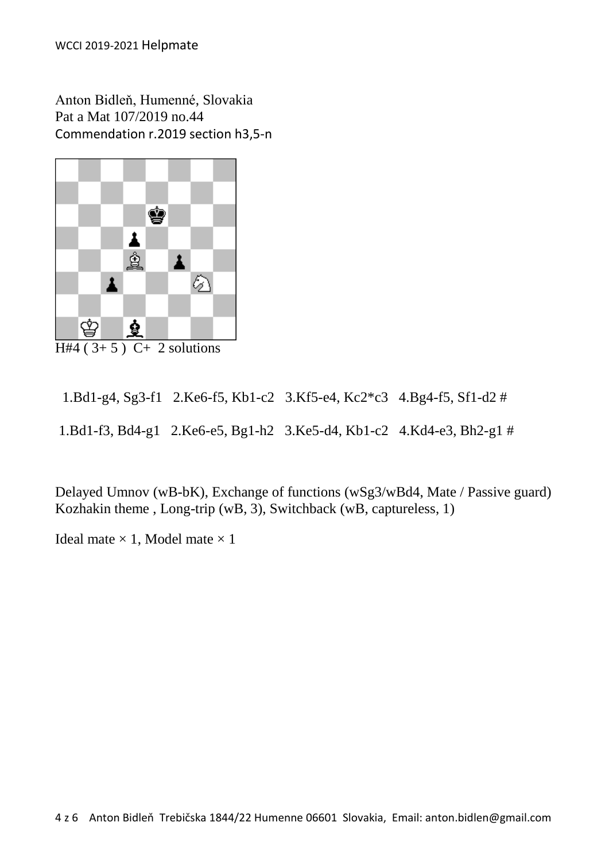Anton Bidleň, Humenné, Slovakia Pat a Mat 107/2019 no.44 Commendation r.2019 section h3,5-n



 $H#4 (3+5) C+ 2$  solutions

 1.Bd1-g4, Sg3-f1 2.Ke6-f5, Kb1-c2 3.Kf5-e4, Kc2\*c3 4.Bg4-f5, Sf1-d2 # 1.Bd1-f3, Bd4-g1 2.Ke6-e5, Bg1-h2 3.Ke5-d4, Kb1-c2 4.Kd4-e3, Bh2-g1 #

[Delayed Umnov](http://helpman.komtera.lt/definition/Delayed_Umnov) (wB-bK), [Exchange of functions](http://helpman.komtera.lt/definition/Exchange_of_functions) (wSg3/wBd4, Mate / Passive guard) [Kozhakin theme](http://helpman.komtera.lt/definition/Kozhakin_theme) , [Long-trip](http://helpman.komtera.lt/definition/Long-trip) (wB, 3), [Switchback](http://helpman.komtera.lt/definition/Switchback) (wB, captureless, 1)

Ideal mate  $\times$  1, Model mate  $\times$  1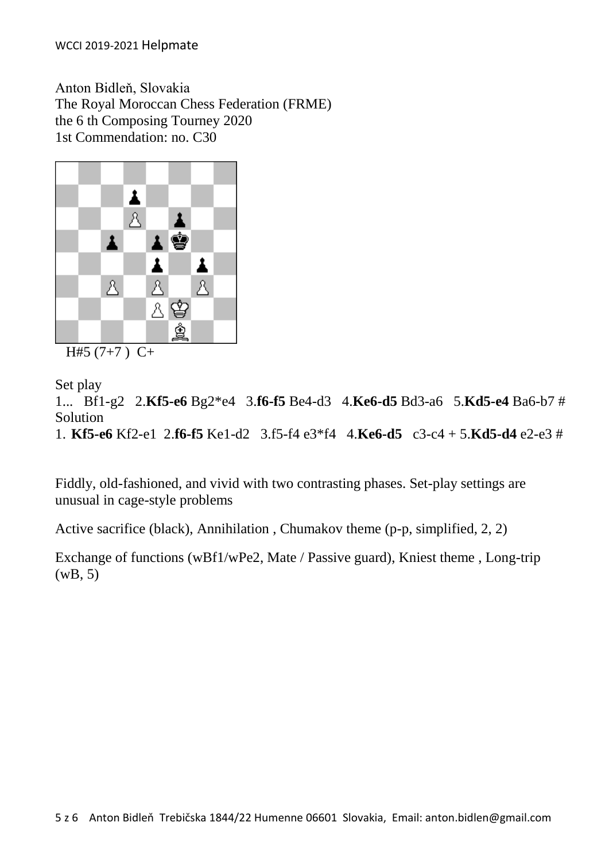Anton Bidleň, Slovakia The Royal Moroccan Chess Federation (FRME) the 6 th Composing Tourney 2020 1st Commendation: no. C30



 $H#5 (7+7) C+$ 

Set play

1... Bf1-g2 2.**Kf5-e6** Bg2\*e4 3.**f6-f5** Be4-d3 4.**Ke6-d5** Bd3-a6 5.**Kd5-e4** Ba6-b7 # Solution 1. **Kf5-e6** Kf2-e1 2.**f6-f5** Ke1-d2 3.f5-f4 e3\*f4 4.**Ke6-d5** c3-c4 + 5.**Kd5-d4** e2-e3 #

Fiddly, old-fashioned, and vivid with two contrasting phases. Set-play settings are unusual in cage-style problems

[Active sacrifice](http://helpman.komtera.lt/definition/Active_sacrifice) (black), [Annihilation](http://helpman.komtera.lt/definition/Annihilation) , [Chumakov theme](http://helpman.komtera.lt/definition/Chumakov_theme) (p-p, simplified, 2, 2)

[Exchange of functions](http://helpman.komtera.lt/definition/Exchange_of_functions) (wBf1/wPe2, Mate / Passive guard), [Kniest theme](http://helpman.komtera.lt/definition/Kniest_theme) , [Long-trip](http://helpman.komtera.lt/definition/Long-trip) (wB, 5)